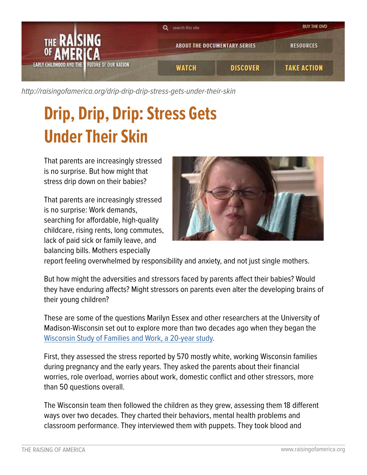

[http://raisingofamerica.org/](http://raisingofamerica.org/drip-drip-drip-stress-gets-under-their-skin)drip-drip-drip-stress-gets-under-their-skin

## **Drip, Drip, Drip: Stress Gets Under Their Skin**

That parents are increasingly stressed is no surprise. But how might that stress drip down on their babies?

That parents are increasingly stressed is no surprise: Work demands, searching for affordable, high-quality childcare, rising rents, long commutes, lack of paid sick or family leave, and balancing bills. Mothers especially



report feeling overwhelmed by responsibility and anxiety, and not just single mothers.

But how might the adversities and stressors faced by parents affect their babies? Would they have enduring affects? Might stressors on parents even alter the developing brains of their young children?

These are some of the questions Marilyn Essex and other researchers at the University of Madison-Wisconsin set out to explore more than two decades ago when they began the [Wisconsin Study of Families and Work, a 20-year study.](http://128.104.130.44/)

First, they assessed the stress reported by 570 mostly white, working Wisconsin families during pregnancy and the early years. They asked the parents about their financial worries, role overload, worries about work, domestic conflict and other stressors, more than 50 questions overall.

The Wisconsin team then followed the children as they grew, assessing them 18 different ways over two decades. They charted their behaviors, mental health problems and classroom performance. They interviewed them with puppets. They took blood and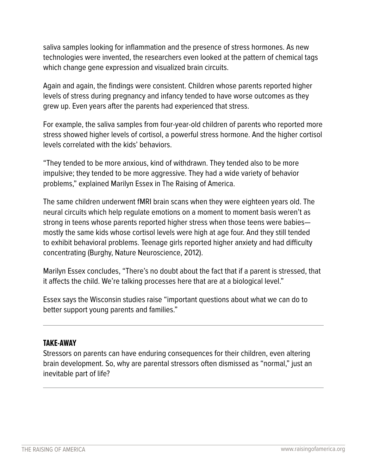saliva samples looking for inflammation and the presence of stress hormones. As new technologies were invented, the researchers even looked at the pattern of chemical tags which change gene expression and visualized brain circuits.

Again and again, the findings were consistent. Children whose parents reported higher levels of stress during pregnancy and infancy tended to have worse outcomes as they grew up. Even years after the parents had experienced that stress.

For example, the saliva samples from four-year-old children of parents who reported more stress showed higher levels of cortisol, a powerful stress hormone. And the higher cortisol levels correlated with the kids' behaviors.

"They tended to be more anxious, kind of withdrawn. They tended also to be more impulsive; they tended to be more aggressive. They had a wide variety of behavior problems," explained Marilyn Essex in The Raising of America.

The same children underwent fMRI brain scans when they were eighteen years old. The neural circuits which help regulate emotions on a moment to moment basis weren't as strong in teens whose parents reported higher stress when those teens were babies mostly the same kids whose cortisol levels were high at age four. And they still tended to exhibit behavioral problems. Teenage girls reported higher anxiety and had difficulty concentrating (Burghy, Nature Neuroscience, 2012).

Marilyn Essex concludes, "There's no doubt about the fact that if a parent is stressed, that it affects the child. We're talking processes here that are at a biological level."

Essex says the Wisconsin studies raise "important questions about what we can do to better support young parents and families."

## **TAKE-AWAY**

Stressors on parents can have enduring consequences for their children, even altering brain development. So, why are parental stressors often dismissed as "normal," just an inevitable part of life?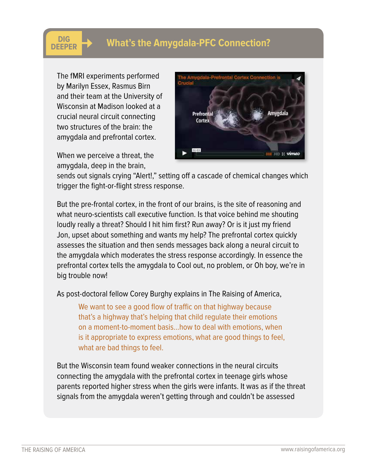## **What's the Amygdala-PFC Connection?**

The fMRI experiments performed by Marilyn Essex, Rasmus Birn and their team at the University of Wisconsin at Madison looked at a crucial neural circuit connecting two structures of the brain: the amygdala and prefrontal cortex.

**DIG**<br>DEEPER

When we perceive a threat, the amygdala, deep in the brain,



sends out signals crying "Alert!," setting off a cascade of chemical changes which trigger the fight-or-flight stress response.

But the pre-frontal cortex, in the front of our brains, is the site of reasoning and what neuro-scientists call executive function. Is that voice behind me shouting loudly really a threat? Should I hit him first? Run away? Or is it just my friend Jon, upset about something and wants my help? The prefrontal cortex quickly assesses the situation and then sends messages back along a neural circuit to the amygdala which moderates the stress response accordingly. In essence the prefrontal cortex tells the amygdala to Cool out, no problem, or Oh boy, we're in big trouble now!

As post-doctoral fellow Corey Burghy explains in The Raising of America,

We want to see a good flow of traffic on that highway because that's a highway that's helping that child regulate their emotions on a moment-to-moment basis…how to deal with emotions, when is it appropriate to express emotions, what are good things to feel, what are bad things to feel.

But the Wisconsin team found weaker connections in the neural circuits connecting the amygdala with the prefrontal cortex in teenage girls whose parents reported higher stress when the girls were infants. It was as if the threat signals from the amygdala weren't getting through and couldn't be assessed